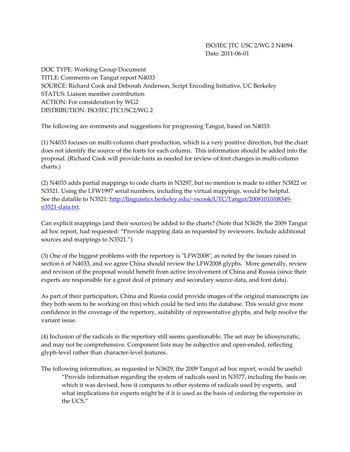ISO/IEC JTC 1/SC 2/WG 2 N4094 Date: 2011‐06‐01

DOC TYPE: Working Group Document TITLE: Comments on Tangut report N4033 SOURCE: Richard Cook and Deborah Anderson, Script Encoding Initiative, UC Berkeley STATUS: Liaison member contribution ACTION: For consideration by WG2 DISTRIBUTION: ISO/IEC JTC1/SC2/WG 2

The following are comments and suggestions for progressing Tangut, based on N4033:

(1) N4033 focuses on multi‐column chart production, which is a very positive direction, but the chart does not identify the source of the fonts for each column. This information should be added into the proposal. (Richard Cook will provide fonts as needed for review of font changes in multi‐column charts.)

(2) N4033 adds partial mappings to code charts in N3297, but no mention is made to either N3822 or N3521. Using the LFW1997 serial numbers, including the virtual mappings, would be helpful. See the datafile to N3521: http://linguistics.berkeley.edu/~rscook/UTC/Tangut/20081010/08349n<sub>3521</sub>-data.txt.

Can explicit mappings (and their sources) be added to the charts? (Note that N3629, the 2009 Tangut ad hoc report, had requested: "Provide mapping data as requested by reviewers. Include additional sources and mappings to N3521.")

(3) One of the biggest problems with the repertory is "LFW2008", as noted by the issues raised in section 6 of N4033, and we agree China should review the LFW2008 glyphs. More generally, review and revision of the proposal would benefit from active involvement of China and Russia (since their experts are responsible for a great deal of primary and secondary source data, and font data).

As part of their participation, China and Russia could provide images of the original manuscripts (as they both seem to be working on this) which could be tied into the database. This would give more confidence in the coverage of the repertory, suitability of representative glyphs, and help resolve the variant issue.

(4) Inclusion of the radicals in the repertory still seems questionable. The set may be idiosyncratic, and may not be comprehensive. Component lists may be subjective and open-ended, reflecting glyph‐level rather than character‐level features.

The following information, as requested in N3629, the 2009 Tangut ad hoc report, would be useful: "Provide information regarding the system of radicals used in N3577, including the basis on which it was devised, how it compares to other systems of radicals used by experts, and what implications for experts might be if it is used as the basis of ordering the repertoire in the UCS."